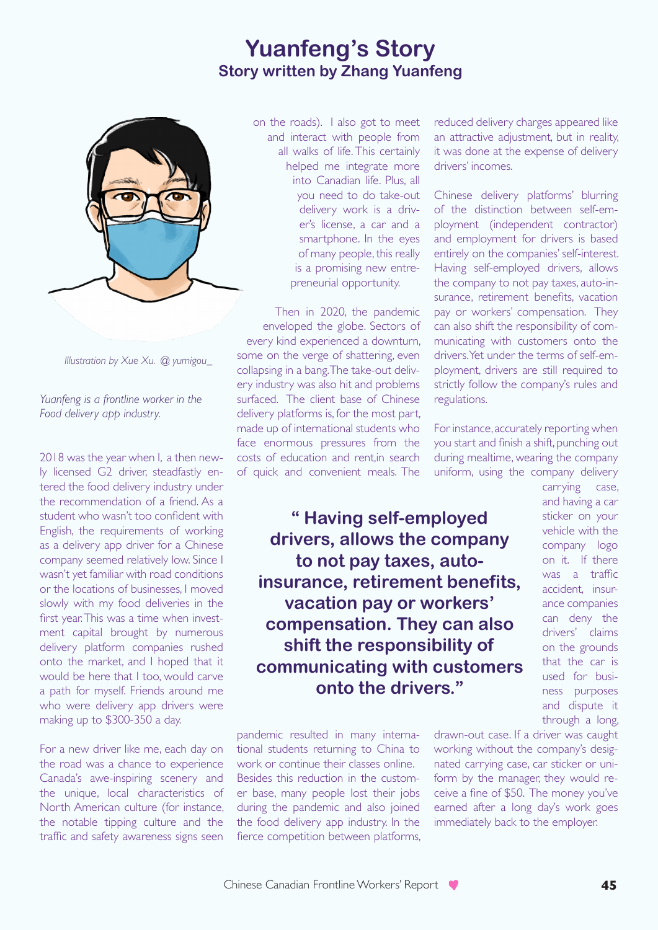## **Yuanfeng's Story Story written by Zhang Yuanfeng**



*Illustration by Xue Xu. @ yumigou\_*

*Yuanfeng is a frontline worker in the Food delivery app industry.* 

2018 was the year when I, a then newly licensed G2 driver, steadfastly entered the food delivery industry under the recommendation of a friend. As a student who wasn't too confident with English, the requirements of working as a delivery app driver for a Chinese company seemed relatively low. Since I wasn't yet familiar with road conditions or the locations of businesses, I moved slowly with my food deliveries in the first year. This was a time when investment capital brought by numerous delivery platform companies rushed onto the market, and I hoped that it would be here that I too, would carve a path for myself. Friends around me who were delivery app drivers were making up to \$300-350 a day.

For a new driver like me, each day on the road was a chance to experience Canada's awe-inspiring scenery and the unique, local characteristics of North American culture (for instance, the notable tipping culture and the traffic and safety awareness signs seen

on the roads). I also got to meet and interact with people from all walks of life. This certainly helped me integrate more into Canadian life. Plus, all you need to do take-out delivery work is a driver's license, a car and a smartphone. In the eyes of many people, this really is a promising new entrepreneurial opportunity.

Then in 2020, the pandemic enveloped the globe. Sectors of every kind experienced a downturn, some on the verge of shattering, even collapsing in a bang. The take-out delivery industry was also hit and problems surfaced. The client base of Chinese delivery platforms is, for the most part, made up of international students who face enormous pressures from the costs of education and rent,in search of quick and convenient meals. The

reduced delivery charges appeared like an attractive adjustment, but in reality, it was done at the expense of delivery drivers' incomes.

Chinese delivery platforms' blurring of the distinction between self-employment (independent contractor) and employment for drivers is based entirely on the companies' self-interest. Having self-employed drivers, allows the company to not pay taxes, auto-insurance, retirement benefits, vacation pay or workers' compensation. They can also shift the responsibility of communicating with customers onto the drivers. Yet under the terms of self-employment, drivers are still required to strictly follow the company's rules and regulations.

For instance, accurately reporting when you start and finish a shift, punching out during mealtime, wearing the company uniform, using the company delivery

**" Having self-employed drivers, allows the company to not pay taxes, autoinsurance, retirement benefits, vacation pay or workers' compensation. They can also shift the responsibility of communicating with customers onto the drivers."**

pandemic resulted in many international students returning to China to work or continue their classes online. Besides this reduction in the customer base, many people lost their jobs during the pandemic and also joined the food delivery app industry. In the fierce competition between platforms, carrying case, and having a car sticker on your vehicle with the company logo on it. If there was a traffic accident, insurance companies can deny the drivers' claims on the grounds that the car is used for business purposes and dispute it through a long,

drawn-out case. If a driver was caught working without the company's designated carrying case, car sticker or uniform by the manager, they would receive a fine of \$50. The money you've earned after a long day's work goes immediately back to the employer.